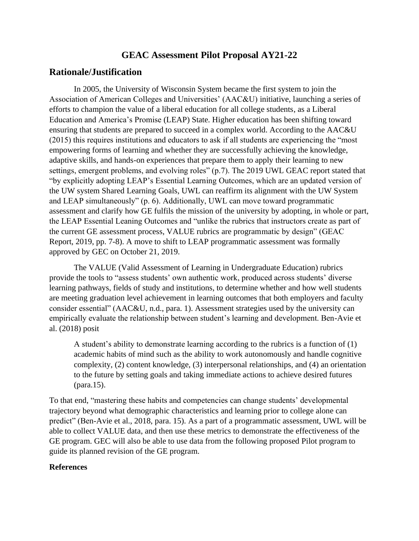### **GEAC Assessment Pilot Proposal AY21-22**

### **Rationale/Justification**

In 2005, the University of Wisconsin System became the first system to join the Association of American Colleges and Universities' (AAC&U) initiative, launching a series of efforts to champion the value of a liberal education for all college students, as a Liberal Education and America's Promise (LEAP) State. Higher education has been shifting toward ensuring that students are prepared to succeed in a complex world. According to the AAC&U (2015) this requires institutions and educators to ask if all students are experiencing the "most empowering forms of learning and whether they are successfully achieving the knowledge, adaptive skills, and hands-on experiences that prepare them to apply their learning to new settings, emergent problems, and evolving roles" (p.7). The 2019 UWL GEAC report stated that "by explicitly adopting LEAP's Essential Learning Outcomes, which are an updated version of the UW system Shared Learning Goals, UWL can reaffirm its alignment with the UW System and LEAP simultaneously" (p. 6). Additionally, UWL can move toward programmatic assessment and clarify how GE fulfils the mission of the university by adopting, in whole or part, the LEAP Essential Leaning Outcomes and "unlike the rubrics that instructors create as part of the current GE assessment process, VALUE rubrics are programmatic by design" (GEAC Report, 2019, pp. 7-8). A move to shift to LEAP programmatic assessment was formally approved by GEC on October 21, 2019.

The VALUE (Valid Assessment of Learning in Undergraduate Education) rubrics provide the tools to "assess students' own authentic work, produced across students' diverse learning pathways, fields of study and institutions, to determine whether and how well students are meeting graduation level achievement in learning outcomes that both employers and faculty consider essential" (AAC&U, n.d., para. 1). Assessment strategies used by the university can empirically evaluate the relationship between student's learning and development. Ben-Avie et al. (2018) posit

A student's ability to demonstrate learning according to the rubrics is a function of (1) academic habits of mind such as the ability to work autonomously and handle cognitive complexity, (2) content knowledge, (3) interpersonal relationships, and (4) an orientation to the future by setting goals and taking immediate actions to achieve desired futures (para.15).

To that end, "mastering these habits and competencies can change students' developmental trajectory beyond what demographic characteristics and learning prior to college alone can predict" (Ben-Avie et al., 2018, para. 15). As a part of a programmatic assessment, UWL will be able to collect VALUE data, and then use these metrics to demonstrate the effectiveness of the GE program. GEC will also be able to use data from the following proposed Pilot program to guide its planned revision of the GE program.

#### **References**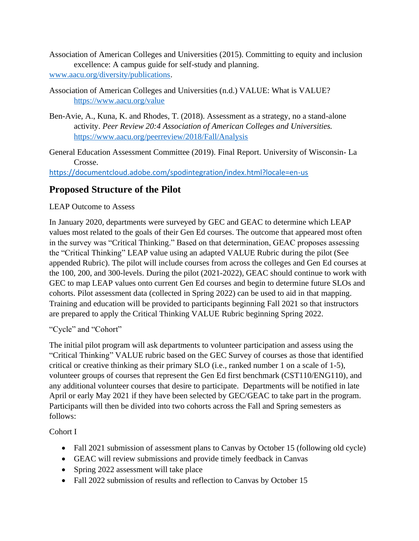- Association of American Colleges and Universities (2015). Committing to equity and inclusion excellence: A campus guide for self-study and planning. [www.aacu.org/diversity/publications.](http://www.aacu.org/diversity/publications)
- Association of American Colleges and Universities (n.d.) VALUE: What is VALUE? <https://www.aacu.org/value>
- Ben-Avie, A., Kuna, K. and Rhodes, T. (2018). Assessment as a strategy, no a stand-alone activity. *Peer Review 20:4 Association of American Colleges and Universities.* <https://www.aacu.org/peerreview/2018/Fall/Analysis>
- General Education Assessment Committee (2019). Final Report. University of Wisconsin- La Crosse.

<https://documentcloud.adobe.com/spodintegration/index.html?locale=en-us>

### **Proposed Structure of the Pilot**

### LEAP Outcome to Assess

In January 2020, departments were surveyed by GEC and GEAC to determine which LEAP values most related to the goals of their Gen Ed courses. The outcome that appeared most often in the survey was "Critical Thinking." Based on that determination, GEAC proposes assessing the "Critical Thinking" LEAP value using an adapted VALUE Rubric during the pilot (See appended Rubric). The pilot will include courses from across the colleges and Gen Ed courses at the 100, 200, and 300-levels. During the pilot (2021-2022), GEAC should continue to work with GEC to map LEAP values onto current Gen Ed courses and begin to determine future SLOs and cohorts. Pilot assessment data (collected in Spring 2022) can be used to aid in that mapping. Training and education will be provided to participants beginning Fall 2021 so that instructors are prepared to apply the Critical Thinking VALUE Rubric beginning Spring 2022.

"Cycle" and "Cohort"

The initial pilot program will ask departments to volunteer participation and assess using the "Critical Thinking" VALUE rubric based on the GEC Survey of courses as those that identified critical or creative thinking as their primary SLO (i.e., ranked number 1 on a scale of 1-5), volunteer groups of courses that represent the Gen Ed first benchmark (CST110/ENG110), and any additional volunteer courses that desire to participate. Departments will be notified in late April or early May 2021 if they have been selected by GEC/GEAC to take part in the program. Participants will then be divided into two cohorts across the Fall and Spring semesters as follows:

Cohort I

- Fall 2021 submission of assessment plans to Canvas by October 15 (following old cycle)
- GEAC will review submissions and provide timely feedback in Canvas
- Spring 2022 assessment will take place
- Fall 2022 submission of results and reflection to Canvas by October 15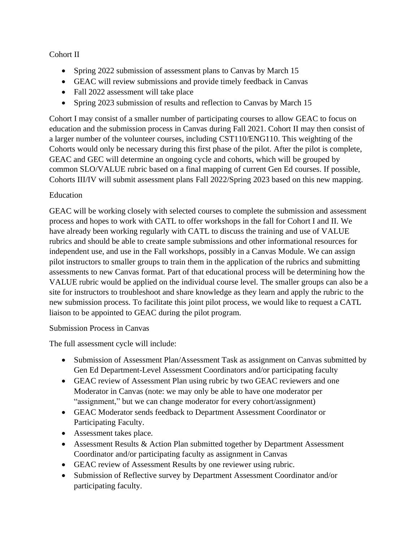### Cohort II

- Spring 2022 submission of assessment plans to Canvas by March 15
- GEAC will review submissions and provide timely feedback in Canvas
- Fall 2022 assessment will take place
- Spring 2023 submission of results and reflection to Canvas by March 15

Cohort I may consist of a smaller number of participating courses to allow GEAC to focus on education and the submission process in Canvas during Fall 2021. Cohort II may then consist of a larger number of the volunteer courses, including CST110/ENG110. This weighting of the Cohorts would only be necessary during this first phase of the pilot. After the pilot is complete, GEAC and GEC will determine an ongoing cycle and cohorts, which will be grouped by common SLO/VALUE rubric based on a final mapping of current Gen Ed courses. If possible, Cohorts III/IV will submit assessment plans Fall 2022/Spring 2023 based on this new mapping.

### Education

GEAC will be working closely with selected courses to complete the submission and assessment process and hopes to work with CATL to offer workshops in the fall for Cohort I and II. We have already been working regularly with CATL to discuss the training and use of VALUE rubrics and should be able to create sample submissions and other informational resources for independent use, and use in the Fall workshops, possibly in a Canvas Module. We can assign pilot instructors to smaller groups to train them in the application of the rubrics and submitting assessments to new Canvas format. Part of that educational process will be determining how the VALUE rubric would be applied on the individual course level. The smaller groups can also be a site for instructors to troubleshoot and share knowledge as they learn and apply the rubric to the new submission process. To facilitate this joint pilot process, we would like to request a CATL liaison to be appointed to GEAC during the pilot program.

#### Submission Process in Canvas

The full assessment cycle will include:

- Submission of Assessment Plan/Assessment Task as assignment on Canvas submitted by Gen Ed Department-Level Assessment Coordinators and/or participating faculty
- GEAC review of Assessment Plan using rubric by two GEAC reviewers and one Moderator in Canvas (note: we may only be able to have one moderator per "assignment," but we can change moderator for every cohort/assignment)
- GEAC Moderator sends feedback to Department Assessment Coordinator or Participating Faculty.
- Assessment takes place.
- Assessment Results & Action Plan submitted together by Department Assessment Coordinator and/or participating faculty as assignment in Canvas
- GEAC review of Assessment Results by one reviewer using rubric.
- Submission of Reflective survey by Department Assessment Coordinator and/or participating faculty.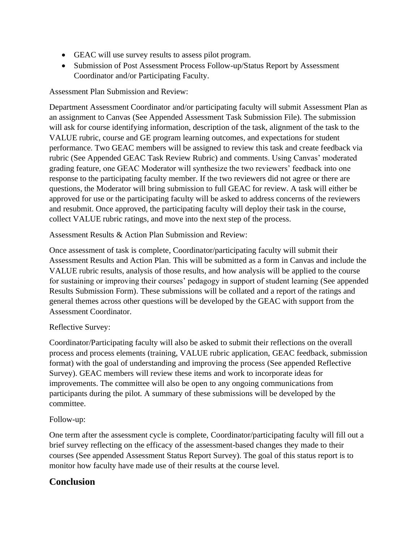- GEAC will use survey results to assess pilot program.
- Submission of Post Assessment Process Follow-up/Status Report by Assessment Coordinator and/or Participating Faculty.

Assessment Plan Submission and Review:

Department Assessment Coordinator and/or participating faculty will submit Assessment Plan as an assignment to Canvas (See Appended Assessment Task Submission File). The submission will ask for course identifying information, description of the task, alignment of the task to the VALUE rubric, course and GE program learning outcomes, and expectations for student performance. Two GEAC members will be assigned to review this task and create feedback via rubric (See Appended GEAC Task Review Rubric) and comments. Using Canvas' moderated grading feature, one GEAC Moderator will synthesize the two reviewers' feedback into one response to the participating faculty member. If the two reviewers did not agree or there are questions, the Moderator will bring submission to full GEAC for review. A task will either be approved for use or the participating faculty will be asked to address concerns of the reviewers and resubmit. Once approved, the participating faculty will deploy their task in the course, collect VALUE rubric ratings, and move into the next step of the process.

Assessment Results & Action Plan Submission and Review:

Once assessment of task is complete, Coordinator/participating faculty will submit their Assessment Results and Action Plan. This will be submitted as a form in Canvas and include the VALUE rubric results, analysis of those results, and how analysis will be applied to the course for sustaining or improving their courses' pedagogy in support of student learning (See appended Results Submission Form). These submissions will be collated and a report of the ratings and general themes across other questions will be developed by the GEAC with support from the Assessment Coordinator.

### Reflective Survey:

Coordinator/Participating faculty will also be asked to submit their reflections on the overall process and process elements (training, VALUE rubric application, GEAC feedback, submission format) with the goal of understanding and improving the process (See appended Reflective Survey). GEAC members will review these items and work to incorporate ideas for improvements. The committee will also be open to any ongoing communications from participants during the pilot. A summary of these submissions will be developed by the committee.

### Follow-up:

One term after the assessment cycle is complete, Coordinator/participating faculty will fill out a brief survey reflecting on the efficacy of the assessment-based changes they made to their courses (See appended Assessment Status Report Survey). The goal of this status report is to monitor how faculty have made use of their results at the course level.

### **Conclusion**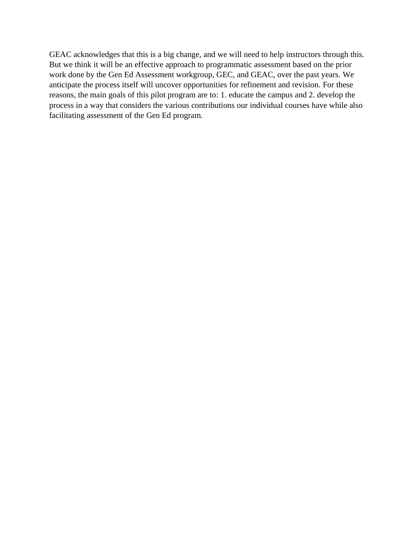GEAC acknowledges that this is a big change, and we will need to help instructors through this. But we think it will be an effective approach to programmatic assessment based on the prior work done by the Gen Ed Assessment workgroup, GEC, and GEAC, over the past years. We anticipate the process itself will uncover opportunities for refinement and revision. For these reasons, the main goals of this pilot program are to: 1. educate the campus and 2. develop the process in a way that considers the various contributions our individual courses have while also facilitating assessment of the Gen Ed program.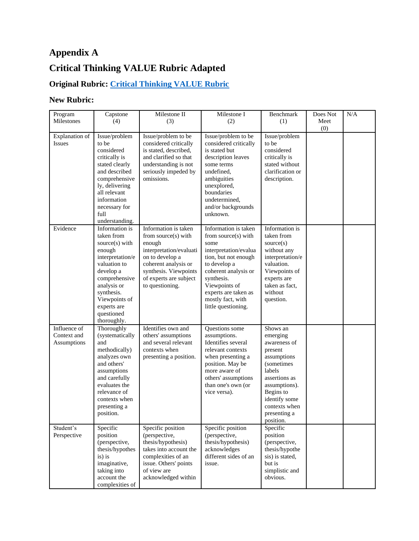# **Appendix A**

# **Critical Thinking VALUE Rubric Adapted**

# **Original Rubric: [Critical Thinking VALUE Rubric](https://chsu.edu/wp-content/uploads/CriticalThinking.pdf)**

### **New Rubric:**

| Program<br>Milestones                             | Capstone<br>(4)                                                                                                                                                                                                      | Milestone II<br>(3)                                                                                                                                                                               | Milestone I<br>(2)                                                                                                                                                                                                                              | Benchmark<br>(1)                                                                                                                                                                                             | Does Not<br>Meet<br>(0) | N/A |
|---------------------------------------------------|----------------------------------------------------------------------------------------------------------------------------------------------------------------------------------------------------------------------|---------------------------------------------------------------------------------------------------------------------------------------------------------------------------------------------------|-------------------------------------------------------------------------------------------------------------------------------------------------------------------------------------------------------------------------------------------------|--------------------------------------------------------------------------------------------------------------------------------------------------------------------------------------------------------------|-------------------------|-----|
| <b>Explanation</b> of<br><b>Issues</b>            | Issue/problem<br>to be<br>considered<br>critically is<br>stated clearly<br>and described<br>comprehensive<br>ly, delivering<br>all relevant<br>information<br>necessary for<br>full<br>understanding.                | Issue/problem to be<br>considered critically<br>is stated, described,<br>and clarified so that<br>understanding is not<br>seriously impeded by<br>omissions.                                      | Issue/problem to be<br>considered critically<br>is stated but<br>description leaves<br>some terms<br>undefined,<br>ambiguities<br>unexplored,<br>boundaries<br>undetermined,<br>and/or backgrounds<br>unknown.                                  | Issue/problem<br>to be<br>considered<br>critically is<br>stated without<br>clarification or<br>description.                                                                                                  |                         |     |
| Evidence                                          | Information is<br>taken from<br>source(s) with<br>enough<br>interpretation/e<br>valuation to<br>develop a<br>comprehensive<br>analysis or<br>synthesis.<br>Viewpoints of<br>experts are<br>questioned<br>thoroughly. | Information is taken<br>from source(s) with<br>enough<br>interpretation/evaluati<br>on to develop a<br>coherent analysis or<br>synthesis. Viewpoints<br>of experts are subject<br>to questioning. | Information is taken<br>from source(s) with<br>some<br>interpretation/evalua<br>tion, but not enough<br>to develop a<br>coherent analysis or<br>synthesis.<br>Viewpoints of<br>experts are taken as<br>mostly fact, with<br>little questioning. | Information is<br>taken from<br>source(s)<br>without any<br>interpretation/e<br>valuation.<br>Viewpoints of<br>experts are<br>taken as fact,<br>without<br>question.                                         |                         |     |
| Influence of<br>Context and<br><b>Assumptions</b> | Thoroughly<br>(systematically<br>and<br>methodically)<br>analyzes own<br>and others'<br>assumptions<br>and carefully<br>evaluates the<br>relevance of<br>contexts when<br>presenting a<br>position.                  | Identifies own and<br>others' assumptions<br>and several relevant<br>contexts when<br>presenting a position.                                                                                      | Questions some<br>assumptions.<br>Identifies several<br>relevant contexts<br>when presenting a<br>position. May be<br>more aware of<br>others' assumptions<br>than one's own (or<br>vice versa).                                                | Shows an<br>emerging<br>awareness of<br>present<br>assumptions<br><i>(sometimes)</i><br>labels<br>assertions as<br>assumptions).<br>Begins to<br>identify some<br>contexts when<br>presenting a<br>position. |                         |     |
| Student's<br>Perspective                          | Specific<br>position<br>(perspective,<br>thesis/hypothes<br>is) is<br>imaginative,<br>taking into<br>account the<br>complexities of                                                                                  | Specific position<br>(perspective,<br>thesis/hypothesis)<br>takes into account the<br>complexities of an<br>issue. Others' points<br>of view are<br>acknowledged within                           | Specific position<br>(perspective,<br>thesis/hypothesis)<br>acknowledges<br>different sides of an<br>issue.                                                                                                                                     | Specific<br>position<br>(perspective,<br>thesis/hypothe<br>sis) is stated,<br>but is<br>simplistic and<br>obvious.                                                                                           |                         |     |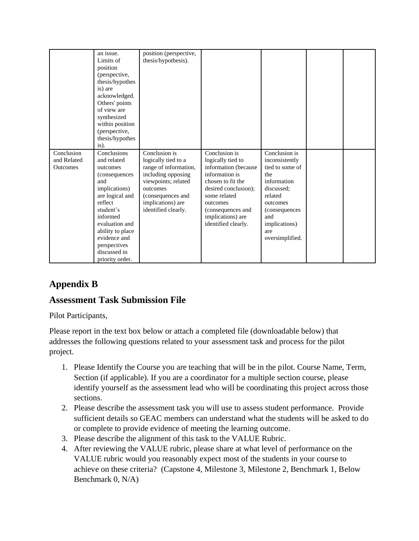|                                              | an issue.<br>Limits of<br>position<br>(perspective,<br>thesis/hypothes<br>is) are<br>acknowledged.<br>Others' points<br>of view are<br>synthesized<br>within position<br>(perspective,<br>thesis/hypothes<br>is).                               | position (perspective,<br>thesis/hypothesis).                                                                                                                                           |                                                                                                                                                                                                                        |                                                                                                                                                                                   |  |
|----------------------------------------------|-------------------------------------------------------------------------------------------------------------------------------------------------------------------------------------------------------------------------------------------------|-----------------------------------------------------------------------------------------------------------------------------------------------------------------------------------------|------------------------------------------------------------------------------------------------------------------------------------------------------------------------------------------------------------------------|-----------------------------------------------------------------------------------------------------------------------------------------------------------------------------------|--|
| Conclusion<br>and Related<br><b>Outcomes</b> | Conclusions<br>and related<br>outcomes<br>(consequences<br>and<br>implications)<br>are logical and<br>reflect<br>student's<br>informed<br>evaluation and<br>ability to place<br>evidence and<br>perspectives<br>discussed in<br>priority order. | Conclusion is<br>logically tied to a<br>range of information,<br>including opposing<br>viewpoints; related<br>outcomes<br>(consequences and<br>implications) are<br>identified clearly. | Conclusion is<br>logically tied to<br>information (because<br>information is<br>chosen to fit the<br>desired conclusion);<br>some related<br>outcomes<br>(consequences and<br>implications) are<br>identified clearly. | Conclusion is<br>inconsistently<br>tied to some of<br>the<br>information<br>discussed:<br>related<br>outcomes<br>(consequences)<br>and<br>implications)<br>are<br>oversimplified. |  |

## **Appendix B**

### **Assessment Task Submission File**

Pilot Participants,

Please report in the text box below or attach a completed file (downloadable below) that addresses the following questions related to your assessment task and process for the pilot project.

- 1. Please Identify the Course you are teaching that will be in the pilot. Course Name, Term, Section (if applicable). If you are a coordinator for a multiple section course, please identify yourself as the assessment lead who will be coordinating this project across those sections.
- 2. Please describe the assessment task you will use to assess student performance. Provide sufficient details so GEAC members can understand what the students will be asked to do or complete to provide evidence of meeting the learning outcome.
- 3. Please describe the alignment of this task to the VALUE Rubric.
- 4. After reviewing the VALUE rubric, please share at what level of performance on the VALUE rubric would you reasonably expect most of the students in your course to achieve on these criteria? (Capstone 4, Milestone 3, Milestone 2, Benchmark 1, Below Benchmark 0, N/A)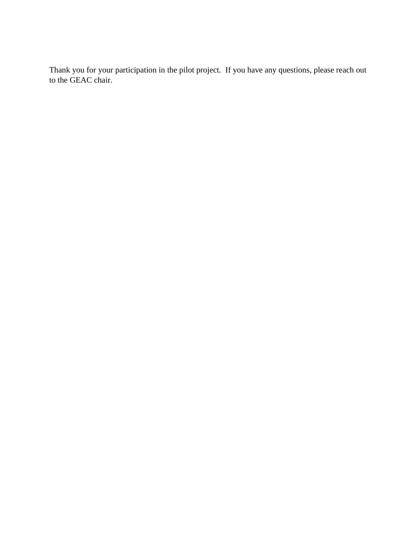Thank you for your participation in the pilot project. If you have any questions, please reach out to the GEAC chair.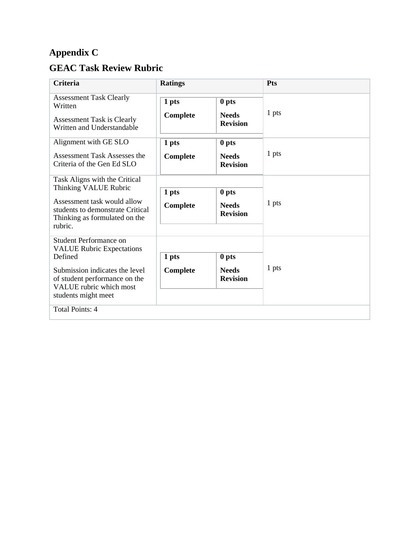# **Appendix C**

# **GEAC Task Review Rubric**

| <b>Criteria</b>                                                                                                                                                                                   | <b>Ratings</b>                                                |                                          | Pts   |  |  |
|---------------------------------------------------------------------------------------------------------------------------------------------------------------------------------------------------|---------------------------------------------------------------|------------------------------------------|-------|--|--|
| <b>Assessment Task Clearly</b><br>Written<br><b>Assessment Task is Clearly</b><br>Written and Understandable                                                                                      | 1 pts<br>Complete                                             | 0 pts<br><b>Needs</b><br><b>Revision</b> | 1 pts |  |  |
| Alignment with GE SLO<br>Assessment Task Assesses the<br>Criteria of the Gen Ed SLO                                                                                                               | 1 pts<br>Complete                                             | 0 pts<br><b>Needs</b><br><b>Revision</b> | 1 pts |  |  |
| Task Aligns with the Critical<br>Thinking VALUE Rubric<br>Assessment task would allow<br>students to demonstrate Critical<br>Thinking as formulated on the<br>rubric.                             | 1 pts<br>0 pts<br>Complete<br><b>Needs</b><br><b>Revision</b> |                                          | 1 pts |  |  |
| <b>Student Performance on</b><br><b>VALUE Rubric Expectations</b><br>Defined<br>Submission indicates the level<br>of student performance on the<br>VALUE rubric which most<br>students might meet | 1 pts<br>0 pts<br>Complete<br><b>Needs</b><br><b>Revision</b> |                                          | 1 pts |  |  |
| Total Points: 4                                                                                                                                                                                   |                                                               |                                          |       |  |  |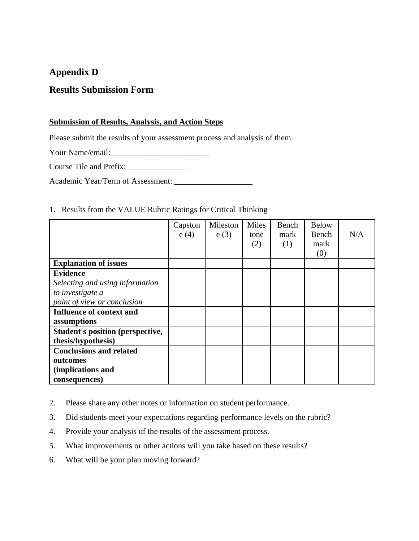### **Appendix D**

### **Results Submission Form**

#### **Submission of Results, Analysis, and Action Steps**

Please submit the results of your assessment process and analysis of them.

Your Name/email:\_\_\_\_\_\_\_\_\_\_\_\_\_\_\_\_\_\_\_\_\_\_\_\_

Course Tile and Prefix:\_\_\_\_\_\_\_\_\_\_\_\_\_\_\_

Academic Year/Term of Assessment: \_\_\_\_\_\_\_\_\_\_\_\_\_\_\_\_\_\_\_

#### 1. Results from the VALUE Rubric Ratings for Critical Thinking

|                                         | Capston | Mileston | Miles | Bench | <b>Below</b> |     |
|-----------------------------------------|---------|----------|-------|-------|--------------|-----|
|                                         | e(4)    | e(3)     | tone  | mark  | Bench        | N/A |
|                                         |         |          | (2)   | (1)   | mark         |     |
|                                         |         |          |       |       | (0)          |     |
| <b>Explanation of issues</b>            |         |          |       |       |              |     |
| <b>Evidence</b>                         |         |          |       |       |              |     |
| Selecting and using information         |         |          |       |       |              |     |
| to investigate a                        |         |          |       |       |              |     |
| point of view or conclusion             |         |          |       |       |              |     |
| Influence of context and                |         |          |       |       |              |     |
| assumptions                             |         |          |       |       |              |     |
| <b>Student's position (perspective,</b> |         |          |       |       |              |     |
| thesis/hypothesis)                      |         |          |       |       |              |     |
| <b>Conclusions and related</b>          |         |          |       |       |              |     |
| outcomes                                |         |          |       |       |              |     |
| (implications and                       |         |          |       |       |              |     |
| consequences)                           |         |          |       |       |              |     |

- 2. Please share any other notes or information on student performance.
- 3. Did students meet your expectations regarding performance levels on the rubric?
- 4. Provide your analysis of the results of the assessment process.
- 5. What improvements or other actions will you take based on these results?
- 6. What will be your plan moving forward?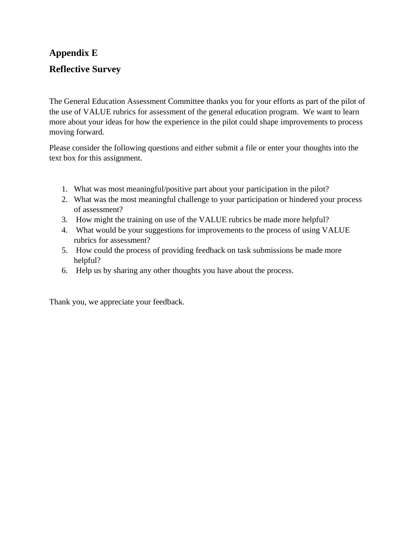# **Appendix E Reflective Survey**

The General Education Assessment Committee thanks you for your efforts as part of the pilot of the use of VALUE rubrics for assessment of the general education program. We want to learn more about your ideas for how the experience in the pilot could shape improvements to process moving forward.

Please consider the following questions and either submit a file or enter your thoughts into the text box for this assignment.

- 1. What was most meaningful/positive part about your participation in the pilot?
- 2. What was the most meaningful challenge to your participation or hindered your process of assessment?
- 3. How might the training on use of the VALUE rubrics be made more helpful?
- 4. What would be your suggestions for improvements to the process of using VALUE rubrics for assessment?
- 5. How could the process of providing feedback on task submissions be made more helpful?
- 6. Help us by sharing any other thoughts you have about the process.

Thank you, we appreciate your feedback.